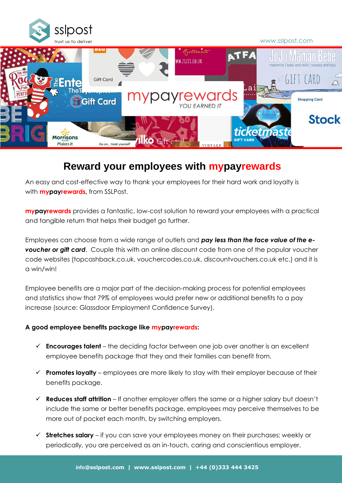



# **Reward your employees with mypayrewards**

An easy and cost-effective way to thank your employees for their hard work and loyalty is with **mypayrewards,** from SSLPost.

**mypayrewards** provides a fantastic, low-cost solution to reward your employees with a practical and tangible return that helps their budget go further.

Employees can choose from a wide range of outlets and *pay less than the face value of the evoucher or gift card*. Couple this with an online discount code from one of the popular voucher code websites (topcashback.co.uk, vouchercodes.co.uk, discountvouchers.co.uk etc.) and it is a win/win!

Employee benefits are a major part of the decision-making process for potential employees and statistics show that 79% of employees would prefer new or additional benefits to a pay increase (source: Glassdoor Employment Confidence Survey).

#### **A good employee benefits package like mypayrewards:**

- ✓ **Encourages talent** the deciding factor between one job over another is an excellent employee benefits package that they and their families can benefit from.
- ✓ **Promotes loyalty** employees are more likely to stay with their employer because of their benefits package.
- ✓ **Reduces staff attrition** If another employer offers the same or a higher salary but doesn't include the same or better benefits package, employees may perceive themselves to be more out of pocket each month, by switching employers.
- ✓ **Stretches salary** if you can save your employees money on their purchases; weekly or periodically, you are perceived as an in-touch, caring and conscientious employer.